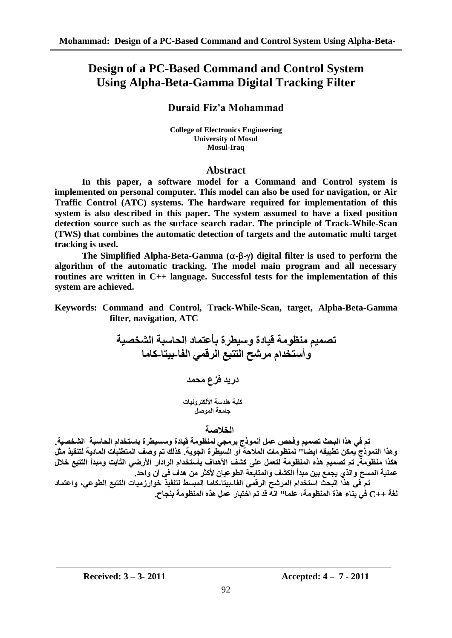# **Design of a PC-Based Command and Control System Using Alpha-Beta-Gamma Digital Tracking Filter**

## **Duraid Fiz'a Mohammad**

**College of Electronics Engineering University of Mosul Mosul-Iraq**

## **Abstract**

**In this paper, a software model for a Command and Control system is implemented on personal computer. This model can also be used for navigation, or Air Traffic Control (ATC) systems. The hardware required for implementation of this system is also described in this paper. The system assumed to have a fixed position detection source such as the surface search radar. The principle of Track-While-Scan (TWS) that combines the automatic detection of targets and the automatic multi target tracking is used.**

The Simplified Alpha-Beta-Gamma  $(\alpha-\beta-\gamma)$  digital filter is used to perform the **algorithm of the automatic tracking. The model main program and all necessary routines are written in C++ language. Successful tests for the implementation of this system are achieved.**

**Keywords: Command and Control, Track-While-Scan, target, Alpha-Beta-Gamma filter, navigation, ATC**

**حصًٍى يُظويت قٍادة وسٍطشة بأػخًاد انذاسبت انشخصٍت وأسخخذاو يششخ انخخبغ انشقًً انفا-بٍخا-كايا دسٌذ فضع يذًذ كهٍت ُْذست األنكخشوٍَاث جايؼت انًوصم**

## **انخالصت**

تم في هذا البحث تصميم وفحص عمل أنموذج برمجي لمنظومة قيادة وسسيطرة باستخدام الحاسبة الشخصية. و<sup>ِ</sup>فذا النموذج يمكن تطبيقه ايضا" لمنظومات الملاحة أو السيطرة الجوية. كذلك تم وصف المنطلبات المادية لتنقيذ مثل هكذا منظومة. تم تصميم هذه المنظومة لتع*مل على* كشف الأهداف بأستخدام الرادار الأرضى الثابت ومبدأ التتبع خلال عملية المسح والذ*ي* يجمع بين مبدأ الكشف والمتابعة الطوعيان لأكثر من هدف ف*ي* آن واحد.

تم فى هذا البحث استخدام المرشح الرق*مى* الفا-بيتا-كاما المبسط لتنفيذ خوارزميات النتبع الطوعى، واعتماد **نغت ++C فً بُاء ْزة انًُظويت، ػهًا" اَّ قذ حى اخخباس ػًم ْزِ انًُظويت بُجاح.**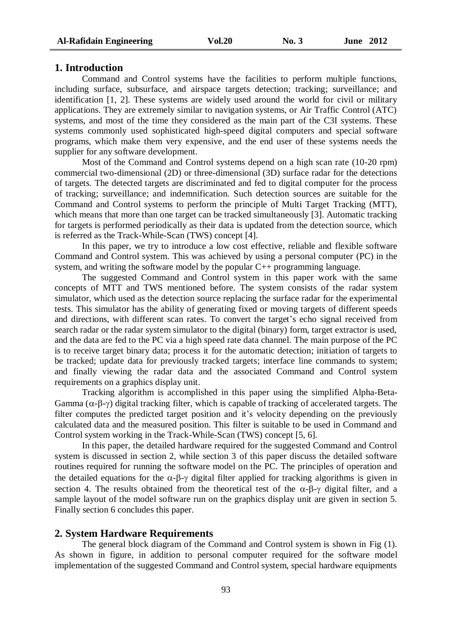#### **1. Introduction**

Command and Control systems have the facilities to perform multiple functions, including surface, subsurface, and airspace targets detection; tracking; surveillance; and identification [1, 2]. These systems are widely used around the world for civil or military applications. They are extremely similar to navigation systems, or Air Traffic Control (ATC) systems, and most of the time they considered as the main part of the C3I systems. These systems commonly used sophisticated high-speed digital computers and special software programs, which make them very expensive, and the end user of these systems needs the supplier for any software development.

Most of the Command and Control systems depend on a high scan rate (10-20 rpm) commercial two-dimensional (2D) or three-dimensional (3D) surface radar for the detections of targets. The detected targets are discriminated and fed to digital computer for the process of tracking; surveillance; and indemnification. Such detection sources are suitable for the Command and Control systems to perform the principle of Multi Target Tracking (MTT), which means that more than one target can be tracked simultaneously [3]. Automatic tracking for targets is performed periodically as their data is updated from the detection source, which is referred as the Track-While-Scan (TWS) concept [4].

In this paper, we try to introduce a low cost effective, reliable and flexible software Command and Control system. This was achieved by using a personal computer (PC) in the system, and writing the software model by the popular C++ programming language.

The suggested Command and Control system in this paper work with the same concepts of MTT and TWS mentioned before. The system consists of the radar system simulator, which used as the detection source replacing the surface radar for the experimental tests. This simulator has the ability of generating fixed or moving targets of different speeds and directions, with different scan rates. To convert the target's echo signal received from search radar or the radar system simulator to the digital (binary) form, target extractor is used, and the data are fed to the PC via a high speed rate data channel. The main purpose of the PC is to receive target binary data; process it for the automatic detection; initiation of targets to be tracked; update data for previously tracked targets; interface line commands to system; and finally viewing the radar data and the associated Command and Control system requirements on a graphics display unit.

Tracking algorithm is accomplished in this paper using the simplified Alpha-Beta-Gamma  $(\alpha-\beta-\gamma)$  digital tracking filter, which is capable of tracking of accelerated targets. The filter computes the predicted target position and it's velocity depending on the previously calculated data and the measured position. This filter is suitable to be used in Command and Control system working in the Track-While-Scan (TWS) concept [5, 6].

In this paper, the detailed hardware required for the suggested Command and Control system is discussed in section 2, while section 3 of this paper discuss the detailed software routines required for running the software model on the PC. The principles of operation and the detailed equations for the  $\alpha$ - $\beta$ - $\gamma$  digital filter applied for tracking algorithms is given in section 4. The results obtained from the theoretical test of the  $\alpha$ - $\beta$ - $\gamma$  digital filter, and a sample layout of the model software run on the graphics display unit are given in section 5. Finally section 6 concludes this paper.

### **2. System Hardware Requirements**

The general block diagram of the Command and Control system is shown in Fig (1). As shown in figure, in addition to personal computer required for the software model implementation of the suggested Command and Control system, special hardware equipments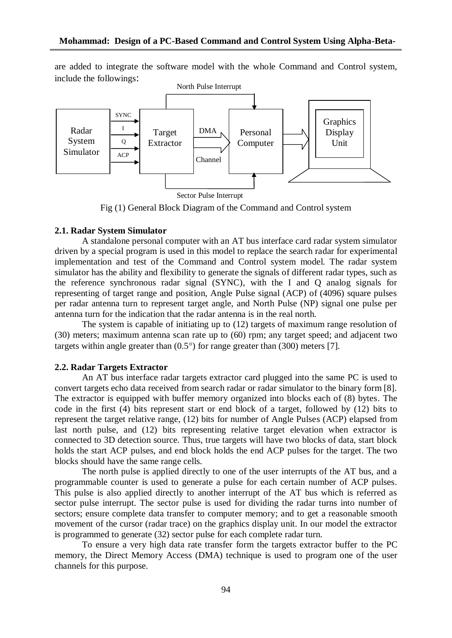are added to integrate the software model with the whole Command and Control system, include the followings:



Fig (1) General Block Diagram of the Command and Control system

### **2.1. Radar System Simulator**

A standalone personal computer with an AT bus interface card radar system simulator driven by a special program is used in this model to replace the search radar for experimental implementation and test of the Command and Control system model. The radar system simulator has the ability and flexibility to generate the signals of different radar types, such as the reference synchronous radar signal (SYNC), with the I and Q analog signals for representing of target range and position, Angle Pulse signal (ACP) of (4096) square pulses per radar antenna turn to represent target angle, and North Pulse (NP) signal one pulse per antenna turn for the indication that the radar antenna is in the real north.

The system is capable of initiating up to (12) targets of maximum range resolution of (30) meters; maximum antenna scan rate up to (60) rpm; any target speed; and adjacent two targets within angle greater than  $(0.5^{\circ})$  for range greater than  $(300)$  meters [7].

#### **2.2. Radar Targets Extractor**

An AT bus interface radar targets extractor card plugged into the same PC is used to convert targets echo data received from search radar or radar simulator to the binary form [8]. The extractor is equipped with buffer memory organized into blocks each of (8) bytes. The code in the first (4) bits represent start or end block of a target, followed by (12) bits to represent the target relative range, (12) bits for number of Angle Pulses (ACP) elapsed from last north pulse, and (12) bits representing relative target elevation when extractor is connected to 3D detection source. Thus, true targets will have two blocks of data, start block holds the start ACP pulses, and end block holds the end ACP pulses for the target. The two blocks should have the same range cells.

The north pulse is applied directly to one of the user interrupts of the AT bus, and a programmable counter is used to generate a pulse for each certain number of ACP pulses. This pulse is also applied directly to another interrupt of the AT bus which is referred as sector pulse interrupt. The sector pulse is used for dividing the radar turns into number of sectors; ensure complete data transfer to computer memory; and to get a reasonable smooth movement of the cursor (radar trace) on the graphics display unit. In our model the extractor is programmed to generate (32) sector pulse for each complete radar turn.

To ensure a very high data rate transfer form the targets extractor buffer to the PC memory, the Direct Memory Access (DMA) technique is used to program one of the user channels for this purpose.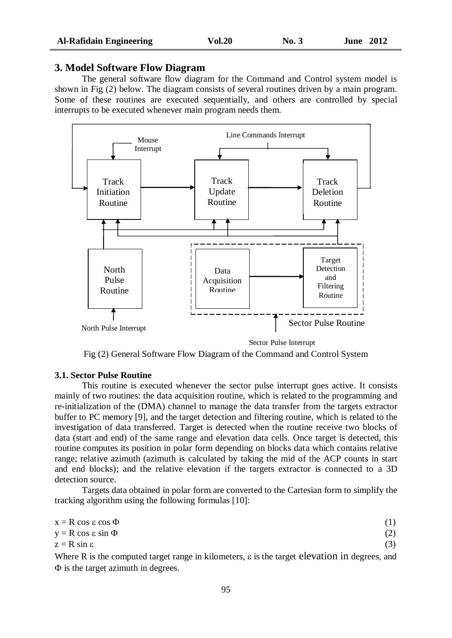#### **3. Model Software Flow Diagram**

The general software flow diagram for the Command and Control system model is shown in Fig (2) below. The diagram consists of several routines driven by a main program. Some of these routines are executed sequentially, and others are controlled by special interrupts to be executed whenever main program needs them.



Fig (2) General Software Flow Diagram of the Command and Control System

#### **3.1. Sector Pulse Routine**

This routine is executed whenever the sector pulse interrupt goes active. It consists mainly of two routines: the data acquisition routine, which is related to the programming and re-initialization of the (DMA) channel to manage the data transfer from the targets extractor buffer to PC memory [9], and the target detection and filtering routine, which is related to the investigation of data transferred. Target is detected when the routine receive two blocks of data (start and end) of the same range and elevation data cells. Once target is detected, this routine computes its position in polar form depending on blocks data which contains relative range; relative azimuth (azimuth is calculated by taking the mid of the ACP counts in start and end blocks); and the relative elevation if the targets extractor is connected to a 3D detection source.

Targets data obtained in polar form are converted to the Cartesian form to simplify the tracking algorithm using the following formulas [10]:

| $x = R \cos \varepsilon \cos \Phi$                                                                        |  |
|-----------------------------------------------------------------------------------------------------------|--|
| $y = R \cos \varepsilon \sin \Phi$                                                                        |  |
| $z = R \sin \epsilon$                                                                                     |  |
| Where R is the computed target range in kilometers, $\varepsilon$ is the target elevation in degrees, and |  |

 $\Phi$  is the target azimuth in degrees.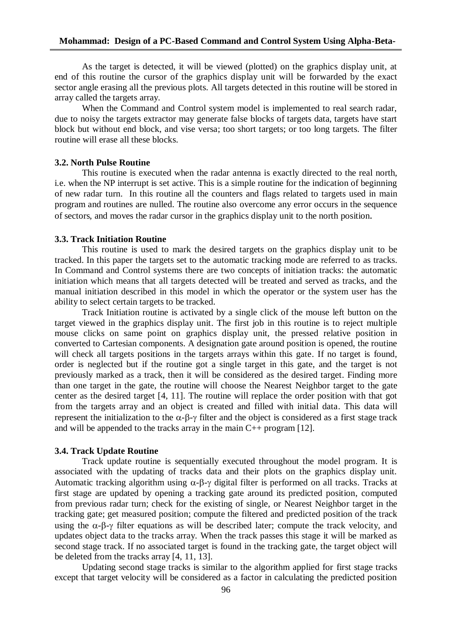As the target is detected, it will be viewed (plotted) on the graphics display unit, at end of this routine the cursor of the graphics display unit will be forwarded by the exact sector angle erasing all the previous plots. All targets detected in this routine will be stored in array called the targets array.

When the Command and Control system model is implemented to real search radar, due to noisy the targets extractor may generate false blocks of targets data, targets have start block but without end block, and vise versa; too short targets; or too long targets. The filter routine will erase all these blocks.

### **3.2. North Pulse Routine**

This routine is executed when the radar antenna is exactly directed to the real north, i.e. when the NP interrupt is set active. This is a simple routine for the indication of beginning of new radar turn. In this routine all the counters and flags related to targets used in main program and routines are nulled. The routine also overcome any error occurs in the sequence of sectors, and moves the radar cursor in the graphics display unit to the north position.

#### **3.3. Track Initiation Routine**

This routine is used to mark the desired targets on the graphics display unit to be tracked. In this paper the targets set to the automatic tracking mode are referred to as tracks. In Command and Control systems there are two concepts of initiation tracks: the automatic initiation which means that all targets detected will be treated and served as tracks, and the manual initiation described in this model in which the operator or the system user has the ability to select certain targets to be tracked.

Track Initiation routine is activated by a single click of the mouse left button on the target viewed in the graphics display unit. The first job in this routine is to reject multiple mouse clicks on same point on graphics display unit, the pressed relative position in converted to Cartesian components. A designation gate around position is opened, the routine will check all targets positions in the targets arrays within this gate. If no target is found, order is neglected but if the routine got a single target in this gate, and the target is not previously marked as a track, then it will be considered as the desired target. Finding more than one target in the gate, the routine will choose the Nearest Neighbor target to the gate center as the desired target [4, 11]. The routine will replace the order position with that got from the targets array and an object is created and filled with initial data. This data will represent the initialization to the  $\alpha$ - $\beta$ - $\gamma$  filter and the object is considered as a first stage track and will be appended to the tracks array in the main  $C_{++}$  program [12].

#### **3.4. Track Update Routine**

Track update routine is sequentially executed throughout the model program. It is associated with the updating of tracks data and their plots on the graphics display unit. Automatic tracking algorithm using  $\alpha$ - $\beta$ - $\gamma$  digital filter is performed on all tracks. Tracks at first stage are updated by opening a tracking gate around its predicted position, computed from previous radar turn; check for the existing of single, or Nearest Neighbor target in the tracking gate; get measured position; compute the filtered and predicted position of the track using the  $\alpha$ - $\beta$ - $\gamma$  filter equations as will be described later; compute the track velocity, and updates object data to the tracks array. When the track passes this stage it will be marked as second stage track. If no associated target is found in the tracking gate, the target object will be deleted from the tracks array [4, 11, 13].

Updating second stage tracks is similar to the algorithm applied for first stage tracks except that target velocity will be considered as a factor in calculating the predicted position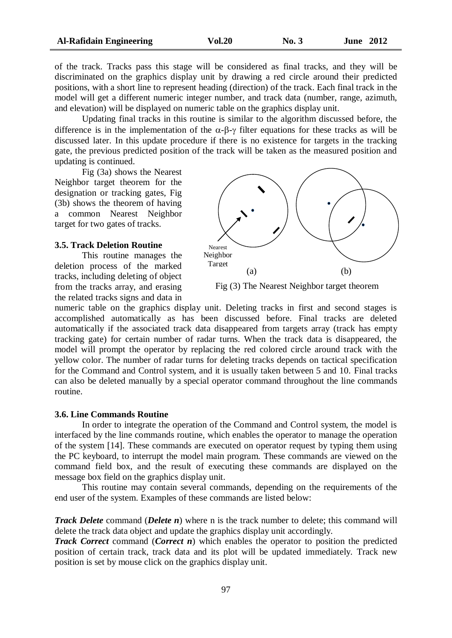of the track. Tracks pass this stage will be considered as final tracks, and they will be discriminated on the graphics display unit by drawing a red circle around their predicted positions, with a short line to represent heading (direction) of the track. Each final track in the model will get a different numeric integer number, and track data (number, range, azimuth, and elevation) will be displayed on numeric table on the graphics display unit.

Updating final tracks in this routine is similar to the algorithm discussed before, the difference is in the implementation of the  $\alpha$ - $\beta$ - $\gamma$  filter equations for these tracks as will be discussed later. In this update procedure if there is no existence for targets in the tracking gate, the previous predicted position of the track will be taken as the measured position and updating is continued.

Fig (3a) shows the Nearest Neighbor target theorem for the designation or tracking gates, Fig (3b) shows the theorem of having a common Nearest Neighbor target for two gates of tracks.

#### **3.5. Track Deletion Routine**

This routine manages the deletion process of the marked tracks, including deleting of object from the tracks array, and erasing the related tracks signs and data in



Fig (3) The Nearest Neighbor target theorem

numeric table on the graphics display unit. Deleting tracks in first and second stages is accomplished automatically as has been discussed before. Final tracks are deleted automatically if the associated track data disappeared from targets array (track has empty tracking gate) for certain number of radar turns. When the track data is disappeared, the model will prompt the operator by replacing the red colored circle around track with the yellow color. The number of radar turns for deleting tracks depends on tactical specification for the Command and Control system, and it is usually taken between 5 and 10. Final tracks can also be deleted manually by a special operator command throughout the line commands routine.

#### **3.6. Line Commands Routine**

In order to integrate the operation of the Command and Control system, the model is interfaced by the line commands routine, which enables the operator to manage the operation of the system [14]. These commands are executed on operator request by typing them using the PC keyboard, to interrupt the model main program. These commands are viewed on the command field box, and the result of executing these commands are displayed on the message box field on the graphics display unit.

This routine may contain several commands, depending on the requirements of the end user of the system. Examples of these commands are listed below:

*Track Delete* command *(Delete n)* where n is the track number to delete; this command will delete the track data object and update the graphics display unit accordingly.

*Track Correct* command (*Correct n*) which enables the operator to position the predicted position of certain track, track data and its plot will be updated immediately. Track new position is set by mouse click on the graphics display unit.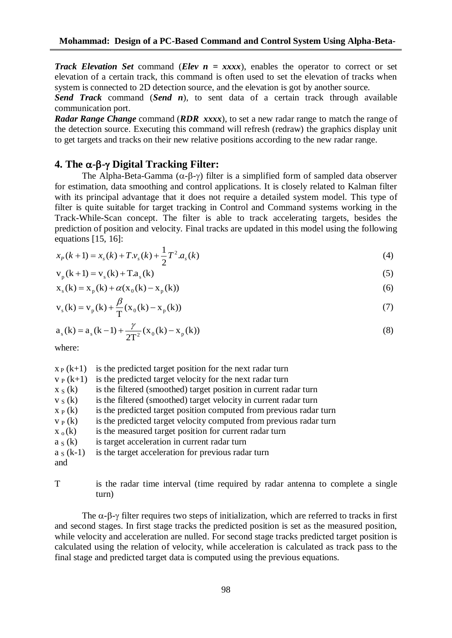*Track Elevation Set* command *(Elev*  $n = XXXx$ *)*, enables the operator to correct or set elevation of a certain track, this command is often used to set the elevation of tracks when system is connected to 2D detection source, and the elevation is got by another source.

*Send Track* command (*Send n*), to sent data of a certain track through available communication port.

*Radar Range Change* command (*RDR xxxx*), to set a new radar range to match the range of the detection source. Executing this command will refresh (redraw) the graphics display unit to get targets and tracks on their new relative positions according to the new radar range.

## **4. The -- Digital Tracking Filter:**

The Alpha-Beta-Gamma  $(\alpha-\beta-\gamma)$  filter is a simplified form of sampled data observer for estimation, data smoothing and control applications. It is closely related to Kalman filter with its principal advantage that it does not require a detailed system model. This type of filter is quite suitable for target tracking in Control and Command systems working in the Track-While-Scan concept. The filter is able to track accelerating targets, besides the prediction of position and velocity. Final tracks are updated in this model using the following equations [15, 16]:

$$
x_p(k+1) = x_s(k) + T \cdot v_s(k) + \frac{1}{2} T^2 \cdot a_s(k)
$$
\n(4)

$$
v_p(k+1) = v_s(k) + Ta_s(k)
$$
 (5)

$$
x_{s}(k) = x_{p}(k) + \alpha(x_{0}(k) - x_{p}(k))
$$
\n(6)

$$
v_s(k) = v_p(k) + \frac{\beta}{T} (x_0(k) - x_p(k))
$$
\n(7)

$$
a_s(k) = a_s(k-1) + \frac{\gamma}{2T^2}(x_0(k) - x_p(k))
$$
\n(8)

where:

| $X_P(k+1)$  | is the predicted target position for the next radar turn           |
|-------------|--------------------------------------------------------------------|
| $V_P(k+1)$  | is the predicted target velocity for the next radar turn           |
| $x_S(k)$    | is the filtered (smoothed) target position in current radar turn   |
| $v_S(k)$    | is the filtered (smoothed) target velocity in current radar turn   |
| $X_P(k)$    | is the predicted target position computed from previous radar turn |
| $V_P(k)$    | is the predicted target velocity computed from previous radar turn |
| $X_0(k)$    | is the measured target position for current radar turn             |
| $a_S(k)$    | is target acceleration in current radar turn                       |
| $a_S (k-1)$ | is the target acceleration for previous radar turn                 |
| and         |                                                                    |
|             |                                                                    |

T is the radar time interval (time required by radar antenna to complete a single turn)

The  $\alpha$ - $\beta$ - $\gamma$  filter requires two steps of initialization, which are referred to tracks in first and second stages. In first stage tracks the predicted position is set as the measured position, while velocity and acceleration are nulled. For second stage tracks predicted target position is calculated using the relation of velocity, while acceleration is calculated as track pass to the final stage and predicted target data is computed using the previous equations.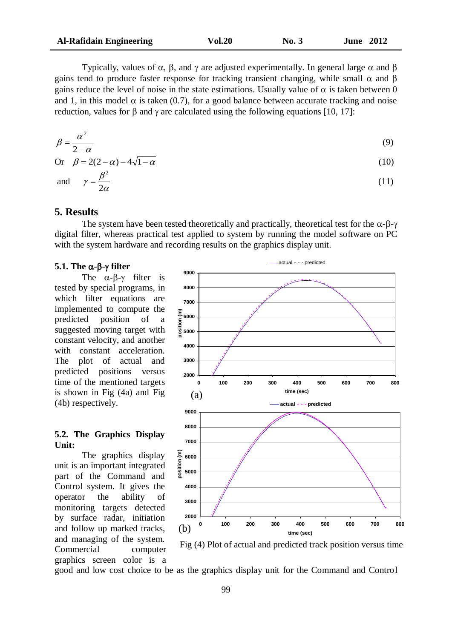| <b>Al-Rafidain Engineering</b> | <b>Vol.20</b> | No. 3 | <b>June 2012</b> |
|--------------------------------|---------------|-------|------------------|
|--------------------------------|---------------|-------|------------------|

Typically, values of  $\alpha$ ,  $\beta$ , and  $\gamma$  are adjusted experimentally. In general large  $\alpha$  and  $\beta$ gains tend to produce faster response for tracking transient changing, while small  $\alpha$  and  $\beta$ gains reduce the level of noise in the state estimations. Usually value of  $\alpha$  is taken between 0 and 1, in this model  $\alpha$  is taken (0.7), for a good balance between accurate tracking and noise reduction, values for  $\beta$  and  $\gamma$  are calculated using the following equations [10, 17]:

$$
\beta = \frac{\alpha^2}{2 - \alpha} \tag{9}
$$

$$
\text{Or} \quad \beta = 2(2 - \alpha) - 4\sqrt{1 - \alpha} \tag{10}
$$

and 
$$
\gamma = \frac{\beta^2}{2\alpha}
$$

 $=\frac{P}{2}$  (11)

## **5. Results**

The system have been tested theoretically and practically, theoretical test for the  $\alpha$ - $\beta$ - $\gamma$ digital filter, whereas practical test applied to system by running the model software on PC with the system hardware and recording results on the graphics display unit.

#### **5.1.** The  $\alpha$ - $\beta$ - $\gamma$  filter

The  $\alpha$ - $\beta$ - $\gamma$  filter is tested by special programs, in which filter equations are implemented to compute the predicted position of a suggested moving target with constant velocity, and another with constant acceleration. The plot of actual and predicted positions versus time of the mentioned targets is shown in Fig (4a) and Fig (4b) respectively.

### **5.2. The Graphics Display Unit:**

The graphics display unit is an important integrated part of the Command and Control system. It gives the operator the ability of monitoring targets detected by surface radar, initiation and follow up marked tracks, and managing of the system. Commercial computer graphics screen color is a





good and low cost choice to be as the graphics display unit for the Command and Control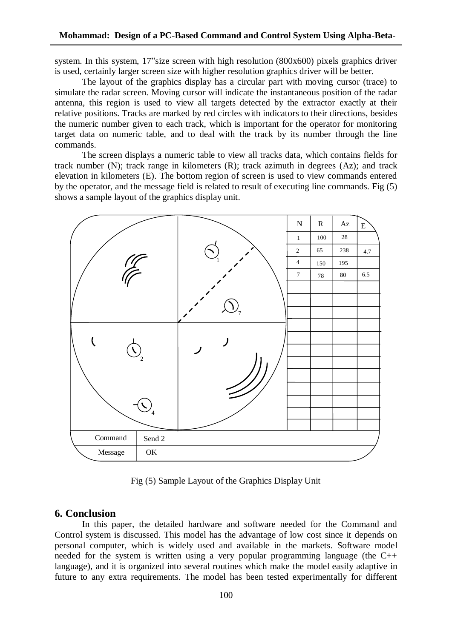system. In this system, 17"size screen with high resolution (800x600) pixels graphics driver is used, certainly larger screen size with higher resolution graphics driver will be better.

The layout of the graphics display has a circular part with moving cursor (trace) to simulate the radar screen. Moving cursor will indicate the instantaneous position of the radar antenna, this region is used to view all targets detected by the extractor exactly at their relative positions. Tracks are marked by red circles with indicators to their directions, besides the numeric number given to each track, which is important for the operator for monitoring target data on numeric table, and to deal with the track by its number through the line commands.

The screen displays a numeric table to view all tracks data, which contains fields for track number (N); track range in kilometers (R); track azimuth in degrees (Az); and track elevation in kilometers (E). The bottom region of screen is used to view commands entered by the operator, and the message field is related to result of executing line commands. Fig (5) shows a sample layout of the graphics display unit.



Fig (5) Sample Layout of the Graphics Display Unit

## **6. Conclusion**

In this paper, the detailed hardware and software needed for the Command and Control system is discussed. This model has the advantage of low cost since it depends on personal computer, which is widely used and available in the markets. Software model needed for the system is written using a very popular programming language (the C++ language), and it is organized into several routines which make the model easily adaptive in future to any extra requirements. The model has been tested experimentally for different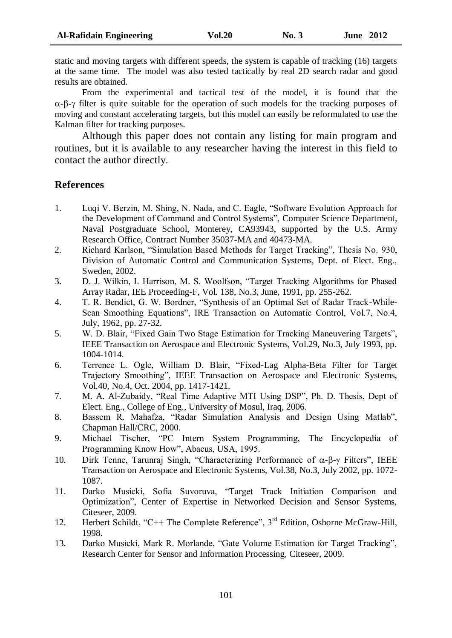static and moving targets with different speeds, the system is capable of tracking (16) targets at the same time. The model was also tested tactically by real 2D search radar and good results are obtained.

From the experimental and tactical test of the model, it is found that the  $\alpha$ - $\beta$ - $\gamma$  filter is quite suitable for the operation of such models for the tracking purposes of moving and constant accelerating targets, but this model can easily be reformulated to use the Kalman filter for tracking purposes.

Although this paper does not contain any listing for main program and routines, but it is available to any researcher having the interest in this field to contact the author directly.

## **References**

- 1. Luqi V. Berzin, M. Shing, N. Nada, and C. Eagle, "Software Evolution Approach for the Development of Command and Control Systems", Computer Science Department, Naval Postgraduate School, Monterey, CA93943, supported by the U.S. Army Research Office, Contract Number 35037-MA and 40473-MA.
- 2. Richard Karlson, "Simulation Based Methods for Target Tracking", Thesis No. 930, Division of Automatic Control and Communication Systems, Dept. of Elect. Eng., Sweden, 2002.
- 3. D. J. Wilkin, I. Harrison, M. S. Woolfson, "Target Tracking Algorithms for Phased Array Radar, IEE Proceeding-F, Vol. 138, No.3, June, 1991, pp. 255-262.
- 4. T. R. Bendict, G. W. Bordner, "Synthesis of an Optimal Set of Radar Track-While-Scan Smoothing Equations", IRE Transaction on Automatic Control, Vol.7, No.4, July, 1962, pp. 27-32.
- 5. W. D. Blair, "Fixed Gain Two Stage Estimation for Tracking Maneuvering Targets", IEEE Transaction on Aerospace and Electronic Systems, Vol.29, No.3, July 1993, pp. 1004-1014.
- 6. Terrence L. Ogle, William D. Blair, "Fixed-Lag Alpha-Beta Filter for Target Trajectory Smoothing", IEEE Transaction on Aerospace and Electronic Systems, Vol.40, No.4, Oct. 2004, pp. 1417-1421.
- 7. M. A. Al-Zubaidy, "Real Time Adaptive MTI Using DSP", Ph. D. Thesis, Dept of Elect. Eng., College of Eng., University of Mosul, Iraq, 2006.
- 8. Bassem R. Mahafza, "Radar Simulation Analysis and Design Using Matlab", Chapman Hall/CRC, 2000.
- 9. Michael Tischer, "PC Intern System Programming, The Encyclopedia of Programming Know How", Abacus, USA, 1995.
- 10. Dirk Tenne, Tarunraj Singh, "Characterizing Performance of  $\alpha$ - $\beta$ - $\gamma$  Filters", IEEE Transaction on Aerospace and Electronic Systems, Vol.38, No.3, July 2002, pp. 1072- 1087.
- 11. Darko Musicki, Sofia Suvoruva, "Target Track Initiation Comparison and Optimization", Center of Expertise in Networked Decision and Sensor Systems, Citeseer, 2009.
- 12. Herbert Schildt, "C++ The Complete Reference", 3<sup>rd</sup> Edition, Osborne McGraw-Hill, 1998.
- 13. Darko Musicki, Mark R. Morlande, "Gate Volume Estimation for Target Tracking", Research Center for Sensor and Information Processing, Citeseer, 2009.